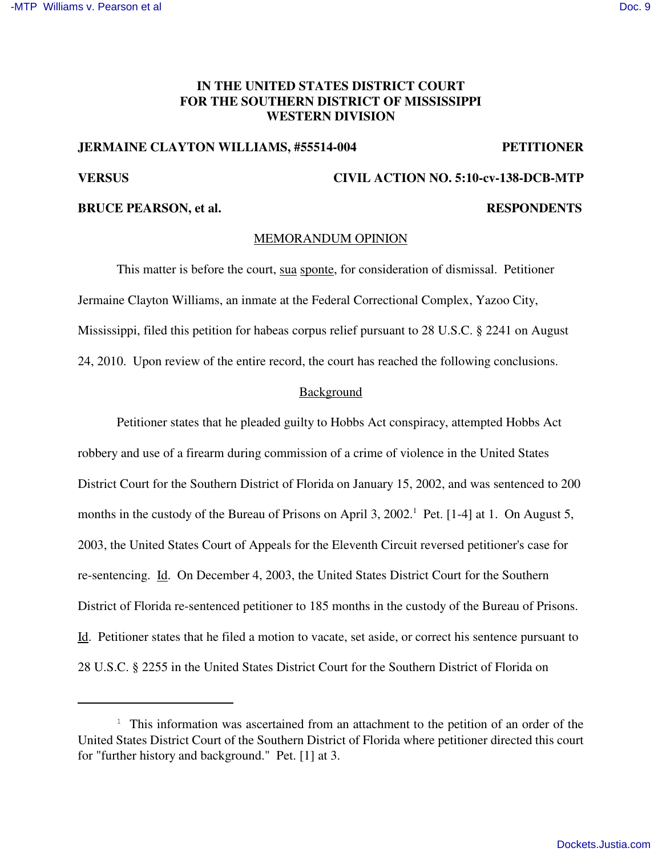# **IN THE UNITED STATES DISTRICT COURT FOR THE SOUTHERN DISTRICT OF MISSISSIPPI WESTERN DIVISION**

### **JERMAINE CLAYTON WILLIAMS, #55514-004 PETITIONER**

# **VERSUS CIVIL ACTION NO. 5:10-cv-138-DCB-MTP**

# **BRUCE PEARSON, et al. RESPONDENTS**

# MEMORANDUM OPINION

This matter is before the court, sua sponte, for consideration of dismissal. Petitioner Jermaine Clayton Williams, an inmate at the Federal Correctional Complex, Yazoo City, Mississippi, filed this petition for habeas corpus relief pursuant to 28 U.S.C. § 2241 on August 24, 2010. Upon review of the entire record, the court has reached the following conclusions.

## **Background**

Petitioner states that he pleaded guilty to Hobbs Act conspiracy, attempted Hobbs Act robbery and use of a firearm during commission of a crime of violence in the United States District Court for the Southern District of Florida on January 15, 2002, and was sentenced to 200 months in the custody of the Bureau of Prisons on April 3, 2002.<sup>1</sup> Pet. [1-4] at 1. On August 5, 2003, the United States Court of Appeals for the Eleventh Circuit reversed petitioner's case for re-sentencing. Id. On December 4, 2003, the United States District Court for the Southern District of Florida re-sentenced petitioner to 185 months in the custody of the Bureau of Prisons. Id. Petitioner states that he filed a motion to vacate, set aside, or correct his sentence pursuant to 28 U.S.C. § 2255 in the United States District Court for the Southern District of Florida on

<sup>&</sup>lt;sup>1</sup> This information was ascertained from an attachment to the petition of an order of the United States District Court of the Southern District of Florida where petitioner directed this court for "further history and background." Pet. [1] at 3.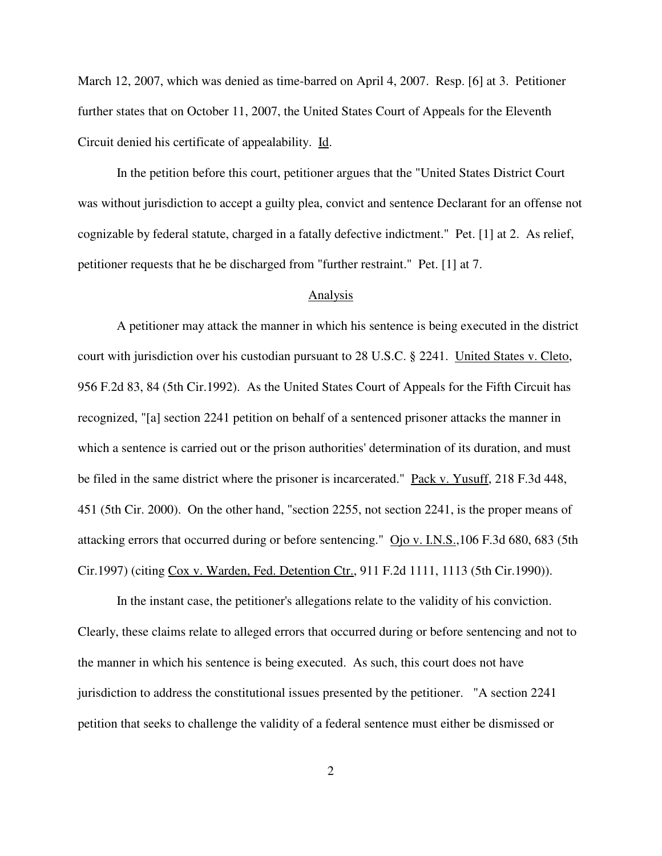March 12, 2007, which was denied as time-barred on April 4, 2007. Resp. [6] at 3. Petitioner further states that on October 11, 2007, the United States Court of Appeals for the Eleventh Circuit denied his certificate of appealability. Id.

In the petition before this court, petitioner argues that the "United States District Court was without jurisdiction to accept a guilty plea, convict and sentence Declarant for an offense not cognizable by federal statute, charged in a fatally defective indictment." Pet. [1] at 2. As relief, petitioner requests that he be discharged from "further restraint." Pet. [1] at 7.

#### Analysis

A petitioner may attack the manner in which his sentence is being executed in the district court with jurisdiction over his custodian pursuant to 28 U.S.C. § 2241. United States v. Cleto, 956 F.2d 83, 84 (5th Cir.1992). As the United States Court of Appeals for the Fifth Circuit has recognized, "[a] section 2241 petition on behalf of a sentenced prisoner attacks the manner in which a sentence is carried out or the prison authorities' determination of its duration, and must be filed in the same district where the prisoner is incarcerated." Pack v. Yusuff, 218 F.3d 448, 451 (5th Cir. 2000). On the other hand, "section 2255, not section 2241, is the proper means of attacking errors that occurred during or before sentencing." Ojo v. I.N.S.,106 F.3d 680, 683 (5th Cir.1997) (citing Cox v. Warden, Fed. Detention Ctr., 911 F.2d 1111, 1113 (5th Cir.1990)).

In the instant case, the petitioner's allegations relate to the validity of his conviction. Clearly, these claims relate to alleged errors that occurred during or before sentencing and not to the manner in which his sentence is being executed. As such, this court does not have jurisdiction to address the constitutional issues presented by the petitioner. "A section 2241 petition that seeks to challenge the validity of a federal sentence must either be dismissed or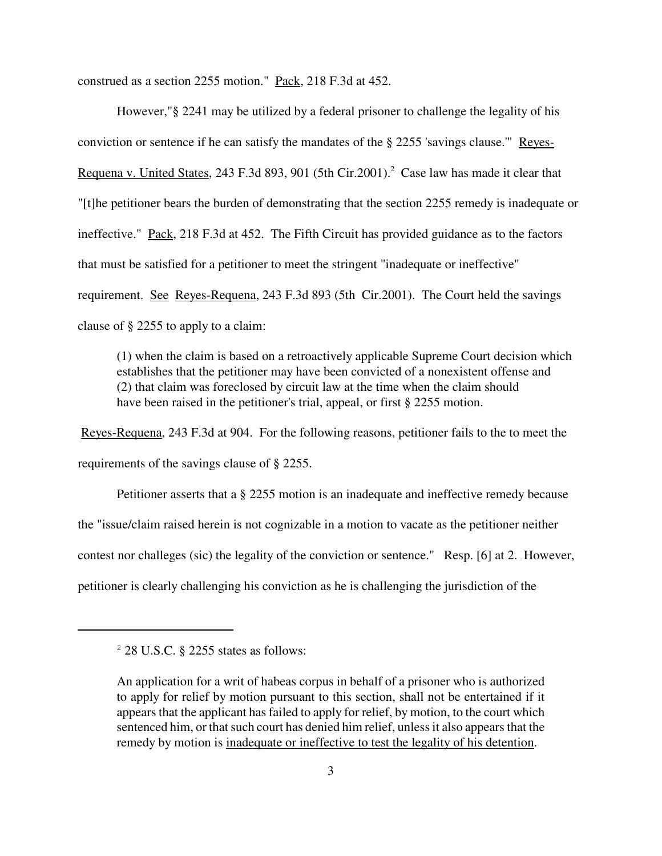construed as a section 2255 motion." Pack, 218 F.3d at 452.

However,"§ 2241 may be utilized by a federal prisoner to challenge the legality of his conviction or sentence if he can satisfy the mandates of the § 2255 'savings clause.'" Reyes-Requena v. United States, 243 F.3d 893, 901 (5th Cir.2001).<sup>2</sup> Case law has made it clear that "[t]he petitioner bears the burden of demonstrating that the section 2255 remedy is inadequate or ineffective." Pack, 218 F.3d at 452. The Fifth Circuit has provided guidance as to the factors that must be satisfied for a petitioner to meet the stringent "inadequate or ineffective" requirement. See Reyes-Requena, 243 F.3d 893 (5th Cir.2001). The Court held the savings clause of § 2255 to apply to a claim:

(1) when the claim is based on a retroactively applicable Supreme Court decision which establishes that the petitioner may have been convicted of a nonexistent offense and (2) that claim was foreclosed by circuit law at the time when the claim should have been raised in the petitioner's trial, appeal, or first § 2255 motion.

Reyes-Requena, 243 F.3d at 904. For the following reasons, petitioner fails to the to meet the requirements of the savings clause of § 2255.

Petitioner asserts that a § 2255 motion is an inadequate and ineffective remedy because the "issue/claim raised herein is not cognizable in a motion to vacate as the petitioner neither contest nor challeges (sic) the legality of the conviction or sentence." Resp. [6] at 2. However, petitioner is clearly challenging his conviction as he is challenging the jurisdiction of the

 $2$  28 U.S.C. § 2255 states as follows:

An application for a writ of habeas corpus in behalf of a prisoner who is authorized to apply for relief by motion pursuant to this section, shall not be entertained if it appears that the applicant has failed to apply for relief, by motion, to the court which sentenced him, or that such court has denied him relief, unless it also appears that the remedy by motion is inadequate or ineffective to test the legality of his detention.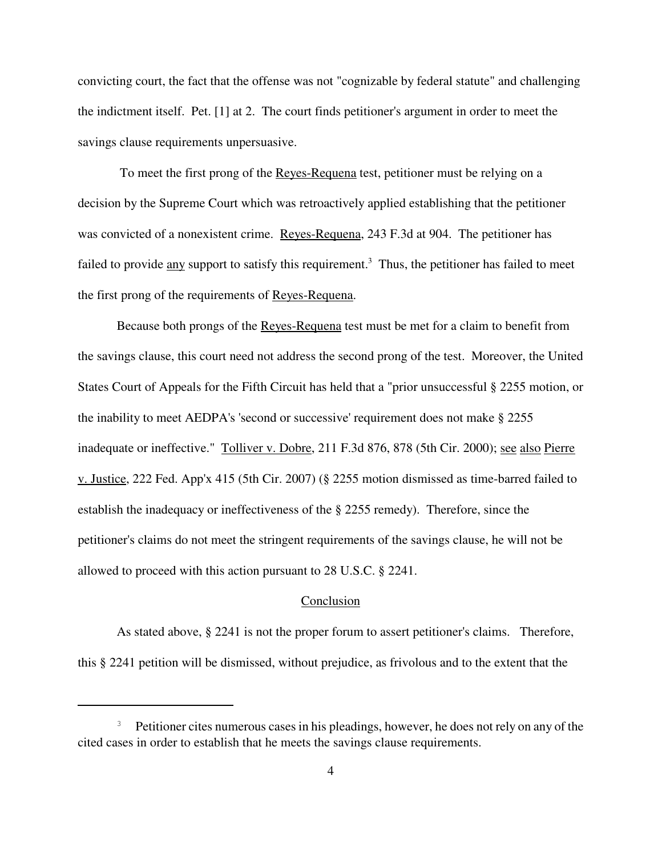convicting court, the fact that the offense was not "cognizable by federal statute" and challenging the indictment itself. Pet. [1] at 2. The court finds petitioner's argument in order to meet the savings clause requirements unpersuasive.

To meet the first prong of the Reyes-Requena test, petitioner must be relying on a decision by the Supreme Court which was retroactively applied establishing that the petitioner was convicted of a nonexistent crime. Reyes-Requena, 243 F.3d at 904. The petitioner has failed to provide any support to satisfy this requirement.<sup>3</sup> Thus, the petitioner has failed to meet the first prong of the requirements of Reyes-Requena.

Because both prongs of the Reyes-Requena test must be met for a claim to benefit from the savings clause, this court need not address the second prong of the test. Moreover, the United States Court of Appeals for the Fifth Circuit has held that a "prior unsuccessful § 2255 motion, or the inability to meet AEDPA's 'second or successive' requirement does not make § 2255 inadequate or ineffective." Tolliver v. Dobre, 211 F.3d 876, 878 (5th Cir. 2000); see also Pierre v. Justice, 222 Fed. App'x 415 (5th Cir. 2007) (§ 2255 motion dismissed as time-barred failed to establish the inadequacy or ineffectiveness of the § 2255 remedy). Therefore, since the petitioner's claims do not meet the stringent requirements of the savings clause, he will not be allowed to proceed with this action pursuant to 28 U.S.C. § 2241.

#### Conclusion

As stated above, § 2241 is not the proper forum to assert petitioner's claims. Therefore, this § 2241 petition will be dismissed, without prejudice, as frivolous and to the extent that the

<sup>&</sup>lt;sup>3</sup> Petitioner cites numerous cases in his pleadings, however, he does not rely on any of the cited cases in order to establish that he meets the savings clause requirements.